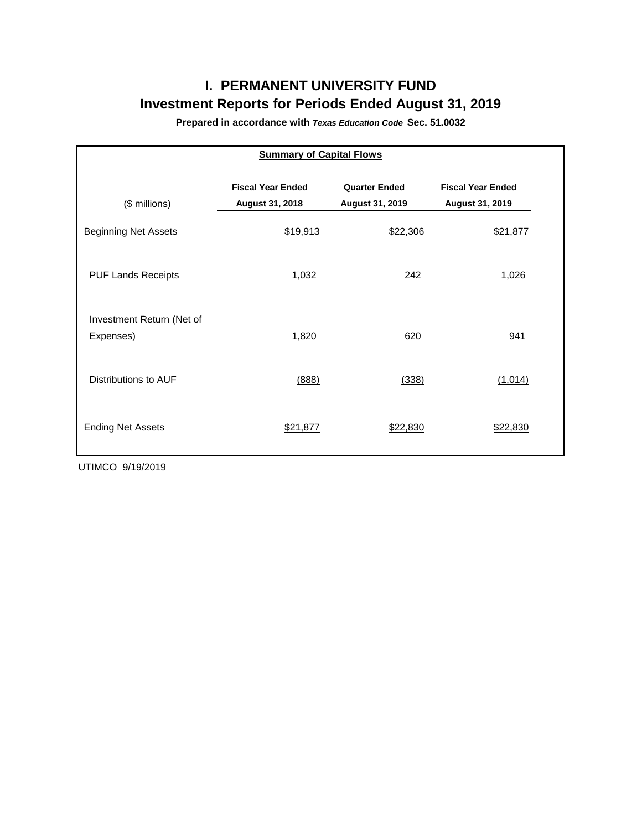# **I. PERMANENT UNIVERSITY FUND Investment Reports for Periods Ended August 31, 2019**

**Prepared in accordance with** *Texas Education Code* **Sec. 51.0032**

| <b>Summary of Capital Flows</b>        |                                             |                                         |                                                    |  |  |  |  |  |  |  |
|----------------------------------------|---------------------------------------------|-----------------------------------------|----------------------------------------------------|--|--|--|--|--|--|--|
| (\$ millions)                          | <b>Fiscal Year Ended</b><br>August 31, 2018 | <b>Quarter Ended</b><br>August 31, 2019 | <b>Fiscal Year Ended</b><br><b>August 31, 2019</b> |  |  |  |  |  |  |  |
| <b>Beginning Net Assets</b>            | \$19,913                                    | \$22,306                                | \$21,877                                           |  |  |  |  |  |  |  |
| <b>PUF Lands Receipts</b>              | 1,032                                       | 242                                     | 1,026                                              |  |  |  |  |  |  |  |
| Investment Return (Net of<br>Expenses) | 1,820                                       | 620                                     | 941                                                |  |  |  |  |  |  |  |
| Distributions to AUF                   | (888)                                       | (338)                                   | (1,014)                                            |  |  |  |  |  |  |  |
| <b>Ending Net Assets</b>               | \$21,877                                    | \$22,830                                | \$22,830                                           |  |  |  |  |  |  |  |

UTIMCO 9/19/2019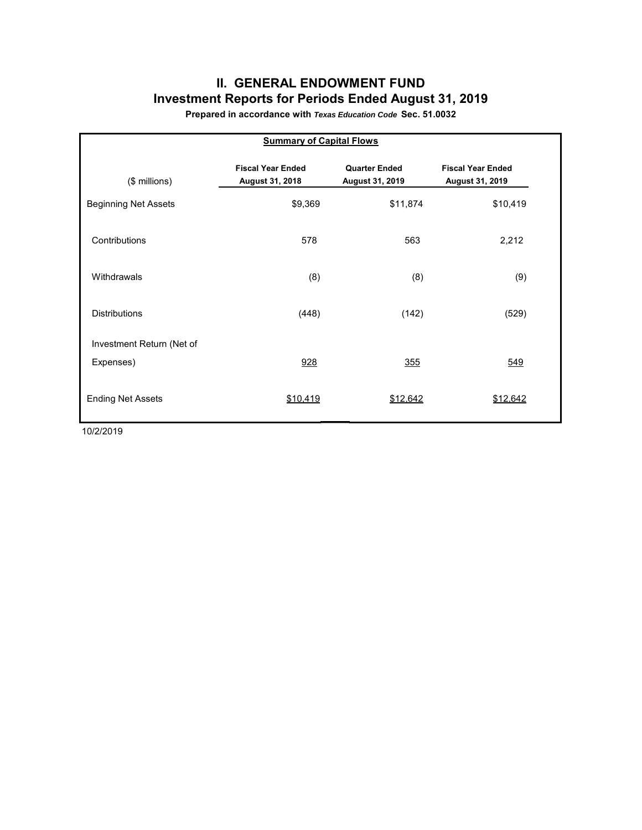## **II. GENERAL ENDOWMENT FUND Investment Reports for Periods Ended August 31, 2019**

**Prepared in accordance with** *Texas Education Code* **Sec. 51.0032**

| <b>Summary of Capital Flows</b> |                                             |                                         |                                             |  |  |  |  |  |  |  |
|---------------------------------|---------------------------------------------|-----------------------------------------|---------------------------------------------|--|--|--|--|--|--|--|
| (\$ millions)                   | <b>Fiscal Year Ended</b><br>August 31, 2018 | <b>Quarter Ended</b><br>August 31, 2019 | <b>Fiscal Year Ended</b><br>August 31, 2019 |  |  |  |  |  |  |  |
| <b>Beginning Net Assets</b>     | \$9,369                                     | \$11,874                                | \$10,419                                    |  |  |  |  |  |  |  |
| Contributions                   | 578                                         | 563                                     | 2,212                                       |  |  |  |  |  |  |  |
| Withdrawals                     | (8)                                         | (8)                                     | (9)                                         |  |  |  |  |  |  |  |
| <b>Distributions</b>            | (448)                                       | (142)                                   | (529)                                       |  |  |  |  |  |  |  |
| Investment Return (Net of       |                                             |                                         |                                             |  |  |  |  |  |  |  |
| Expenses)                       | 928                                         | <u>355</u>                              | 549                                         |  |  |  |  |  |  |  |
| <b>Ending Net Assets</b>        | \$10,419                                    | \$12,642                                | \$12,642                                    |  |  |  |  |  |  |  |

10/2/2019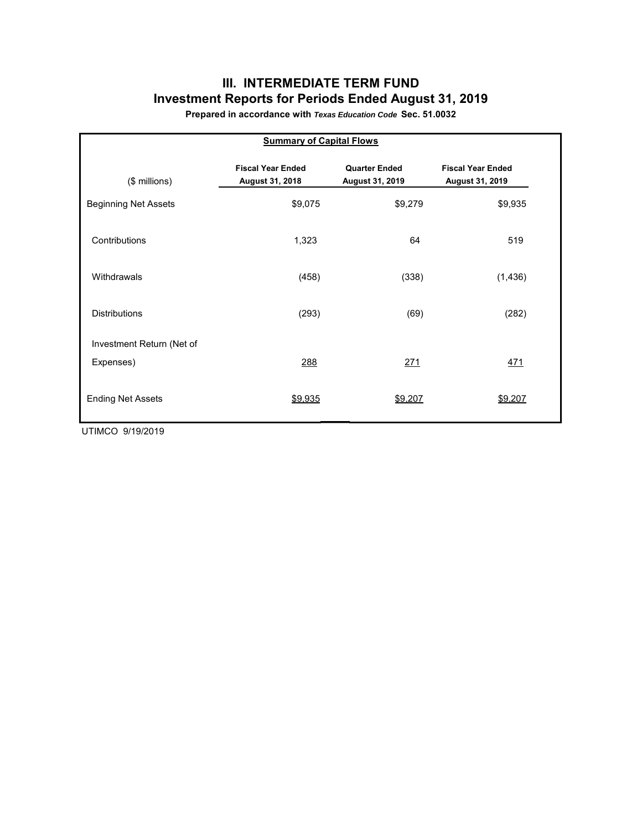## **III. INTERMEDIATE TERM FUND Investment Reports for Periods Ended August 31, 2019**

**Prepared in accordance with** *Texas Education Code* **Sec. 51.0032**

| <b>Summary of Capital Flows</b> |                                             |                                         |                                             |  |  |  |  |  |  |  |
|---------------------------------|---------------------------------------------|-----------------------------------------|---------------------------------------------|--|--|--|--|--|--|--|
| (\$ millions)                   | <b>Fiscal Year Ended</b><br>August 31, 2018 | <b>Quarter Ended</b><br>August 31, 2019 | <b>Fiscal Year Ended</b><br>August 31, 2019 |  |  |  |  |  |  |  |
| <b>Beginning Net Assets</b>     | \$9,075                                     | \$9,279                                 | \$9,935                                     |  |  |  |  |  |  |  |
| Contributions                   | 1,323                                       | 64                                      | 519                                         |  |  |  |  |  |  |  |
| Withdrawals                     | (458)                                       | (338)                                   | (1, 436)                                    |  |  |  |  |  |  |  |
| <b>Distributions</b>            | (293)                                       | (69)                                    | (282)                                       |  |  |  |  |  |  |  |
| Investment Return (Net of       |                                             |                                         |                                             |  |  |  |  |  |  |  |
| Expenses)                       | 288                                         | 271                                     | <u>471</u>                                  |  |  |  |  |  |  |  |
| <b>Ending Net Assets</b>        | \$9,935                                     | \$9,207                                 | \$9,207                                     |  |  |  |  |  |  |  |

UTIMCO 9/19/2019